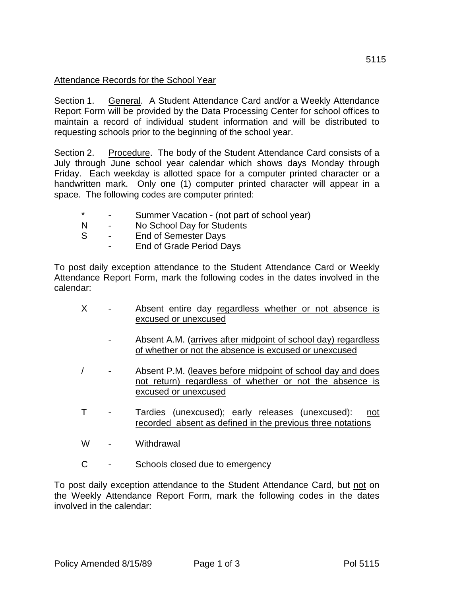## Attendance Records for the School Year

Section 1. General. A Student Attendance Card and/or a Weekly Attendance Report Form will be provided by the Data Processing Center for school offices to maintain a record of individual student information and will be distributed to requesting schools prior to the beginning of the school year.

Section 2. Procedure. The body of the Student Attendance Card consists of a July through June school year calendar which shows days Monday through Friday. Each weekday is allotted space for a computer printed character or a handwritten mark. Only one (1) computer printed character will appear in a space. The following codes are computer printed:

- \* Summer Vacation (not part of school year)
- N No School Day for Students
- S End of Semester Days
	- End of Grade Period Days

To post daily exception attendance to the Student Attendance Card or Weekly Attendance Report Form, mark the following codes in the dates involved in the calendar:

- X Absent entire day regardless whether or not absence is excused or unexcused
	- Absent A.M. (arrives after midpoint of school day) regardless of whether or not the absence is excused or unexcused
- / Absent P.M. (leaves before midpoint of school day and does not return) regardless of whether or not the absence is excused or unexcused
- T Tardies (unexcused); early releases (unexcused): not recorded absent as defined in the previous three notations
- W Withdrawal
- C Schools closed due to emergency

To post daily exception attendance to the Student Attendance Card, but not on the Weekly Attendance Report Form, mark the following codes in the dates involved in the calendar: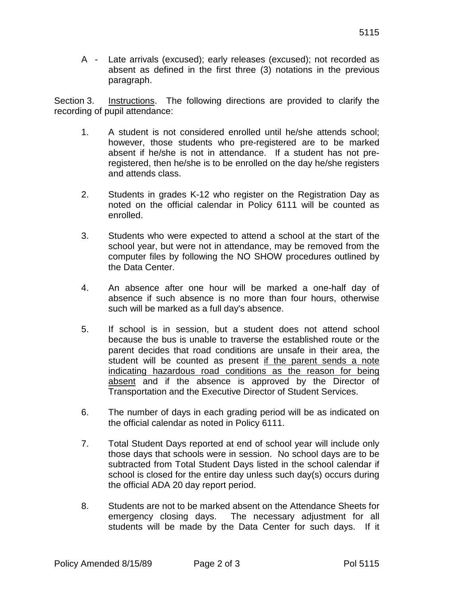A - Late arrivals (excused); early releases (excused); not recorded as absent as defined in the first three (3) notations in the previous paragraph.

Section 3. Instructions. The following directions are provided to clarify the recording of pupil attendance:

- 1. A student is not considered enrolled until he/she attends school; however, those students who pre-registered are to be marked absent if he/she is not in attendance. If a student has not preregistered, then he/she is to be enrolled on the day he/she registers and attends class.
- 2. Students in grades K-12 who register on the Registration Day as noted on the official calendar in Policy 6111 will be counted as enrolled.
- 3. Students who were expected to attend a school at the start of the school year, but were not in attendance, may be removed from the computer files by following the NO SHOW procedures outlined by the Data Center.
- 4. An absence after one hour will be marked a one-half day of absence if such absence is no more than four hours, otherwise such will be marked as a full day's absence.
- 5. If school is in session, but a student does not attend school because the bus is unable to traverse the established route or the parent decides that road conditions are unsafe in their area, the student will be counted as present if the parent sends a note indicating hazardous road conditions as the reason for being absent and if the absence is approved by the Director of Transportation and the Executive Director of Student Services.
- 6. The number of days in each grading period will be as indicated on the official calendar as noted in Policy 6111.
- 7. Total Student Days reported at end of school year will include only those days that schools were in session. No school days are to be subtracted from Total Student Days listed in the school calendar if school is closed for the entire day unless such day(s) occurs during the official ADA 20 day report period.
- 8. Students are not to be marked absent on the Attendance Sheets for emergency closing days. The necessary adjustment for all students will be made by the Data Center for such days. If it